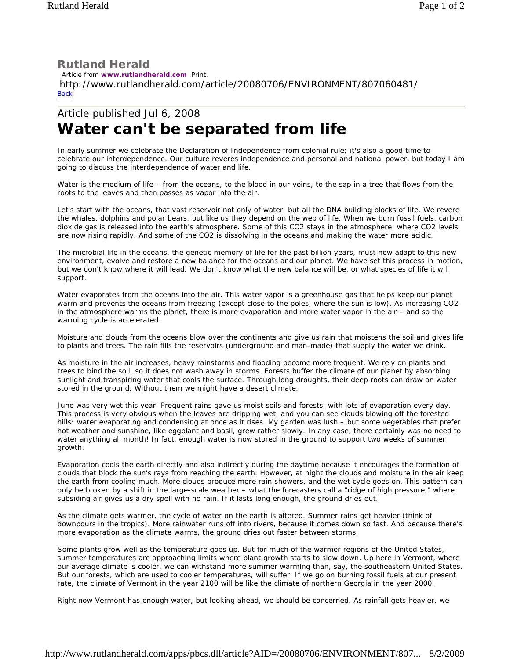## **Rutland Herald**

 Article from **www.rutlandherald.com** Print. http://www.rutlandherald.com/article/20080706/ENVIRONMENT/807060481/ **Back** 

## Article published Jul 6, 2008 **Water can't be separated from life**

In early summer we celebrate the Declaration of Independence from colonial rule; it's also a good time to celebrate our interdependence. Our culture reveres independence and personal and national power, but today I am going to discuss the interdependence of water and life.

Water is the medium of life – from the oceans, to the blood in our veins, to the sap in a tree that flows from the roots to the leaves and then passes as vapor into the air.

Let's start with the oceans, that vast reservoir not only of water, but all the DNA building blocks of life. We revere the whales, dolphins and polar bears, but like us they depend on the web of life. When we burn fossil fuels, carbon dioxide gas is released into the earth's atmosphere. Some of this CO2 stays in the atmosphere, where CO2 levels are now rising rapidly. And some of the CO2 is dissolving in the oceans and making the water more acidic.

The microbial life in the oceans, the genetic memory of life for the past billion years, must now adapt to this new environment, evolve and restore a new balance for the oceans and our planet. We have set this process in motion, but we don't know where it will lead. We don't know what the new balance will be, or what species of life it will support.

Water evaporates from the oceans into the air. This water vapor is a greenhouse gas that helps keep our planet warm and prevents the oceans from freezing (except close to the poles, where the sun is low). As increasing CO2 in the atmosphere warms the planet, there is more evaporation and more water vapor in the air – and so the warming cycle is accelerated.

Moisture and clouds from the oceans blow over the continents and give us rain that moistens the soil and gives life to plants and trees. The rain fills the reservoirs (underground and man-made) that supply the water we drink.

As moisture in the air increases, heavy rainstorms and flooding become more frequent. We rely on plants and trees to bind the soil, so it does not wash away in storms. Forests buffer the climate of our planet by absorbing sunlight and transpiring water that cools the surface. Through long droughts, their deep roots can draw on water stored in the ground. Without them we might have a desert climate.

June was very wet this year. Frequent rains gave us moist soils and forests, with lots of evaporation every day. This process is very obvious when the leaves are dripping wet, and you can see clouds blowing off the forested hills: water evaporating and condensing at once as it rises. My garden was lush – but some vegetables that prefer hot weather and sunshine, like eggplant and basil, grew rather slowly. In any case, there certainly was no need to water anything all month! In fact, enough water is now stored in the ground to support two weeks of summer growth.

Evaporation cools the earth directly and also indirectly during the daytime because it encourages the formation of clouds that block the sun's rays from reaching the earth. However, at night the clouds and moisture in the air keep the earth from cooling much. More clouds produce more rain showers, and the wet cycle goes on. This pattern can only be broken by a shift in the large-scale weather – what the forecasters call a "ridge of high pressure," where subsiding air gives us a dry spell with no rain. If it lasts long enough, the ground dries out.

As the climate gets warmer, the cycle of water on the earth is altered. Summer rains get heavier (think of downpours in the tropics). More rainwater runs off into rivers, because it comes down so fast. And because there's more evaporation as the climate warms, the ground dries out faster between storms.

Some plants grow well as the temperature goes up. But for much of the warmer regions of the United States, summer temperatures are approaching limits where plant growth starts to slow down. Up here in Vermont, where our average climate is cooler, we can withstand more summer warming than, say, the southeastern United States. But our forests, which are used to cooler temperatures, will suffer. If we go on burning fossil fuels at our present rate, the climate of Vermont in the year 2100 will be like the climate of northern Georgia in the year 2000.

Right now Vermont has enough water, but looking ahead, we should be concerned. As rainfall gets heavier, we